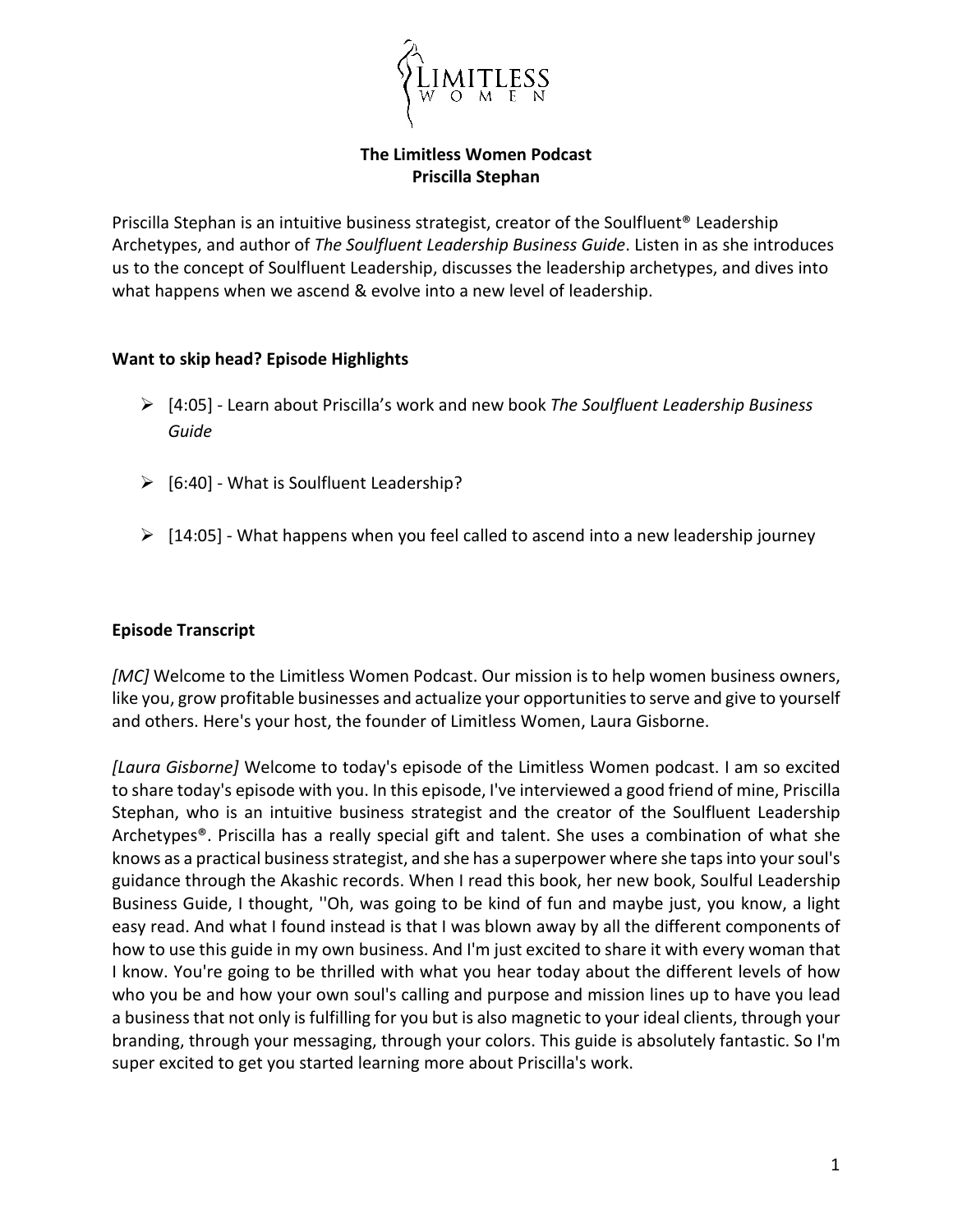

**The Limitless Women Podcast Priscilla Stephan**

Priscilla Stephan is an intuitive business strategist, creator of the Soulfluent® Leadership Archetypes, and author of *The Soulfluent Leadership Business Guide*. Listen in as she introduces us to the concept of Soulfluent Leadership, discusses the leadership archetypes, and dives into what happens when we ascend & evolve into a new level of leadership.

### **Want to skip head? Episode Highlights**

- [4:05] Learn about Priscilla's work and new book *The Soulfluent Leadership Business Guide*
- $\triangleright$  [6:40] What is Soulfluent Leadership?
- $\triangleright$  [14:05] What happens when you feel called to ascend into a new leadership journey

## **Episode Transcript**

*[MC]* Welcome to the Limitless Women Podcast. Our mission is to help women business owners, like you, grow profitable businesses and actualize your opportunities to serve and give to yourself and others. Here's your host, the founder of Limitless Women, Laura Gisborne.

*[Laura Gisborne]* Welcome to today's episode of the Limitless Women podcast. I am so excited to share today's episode with you. In this episode, I've interviewed a good friend of mine, Priscilla Stephan, who is an intuitive business strategist and the creator of the Soulfluent Leadership Archetypes®. Priscilla has a really special gift and talent. She uses a combination of what she knows as a practical business strategist, and she has a superpower where she taps into your soul's guidance through the Akashic records. When I read this book, her new book, Soulful Leadership Business Guide, I thought, ''Oh, was going to be kind of fun and maybe just, you know, a light easy read. And what I found instead is that I was blown away by all the different components of how to use this guide in my own business. And I'm just excited to share it with every woman that I know. You're going to be thrilled with what you hear today about the different levels of how who you be and how your own soul's calling and purpose and mission lines up to have you lead a business that not only is fulfilling for you but is also magnetic to your ideal clients, through your branding, through your messaging, through your colors. This guide is absolutely fantastic. So I'm super excited to get you started learning more about Priscilla's work.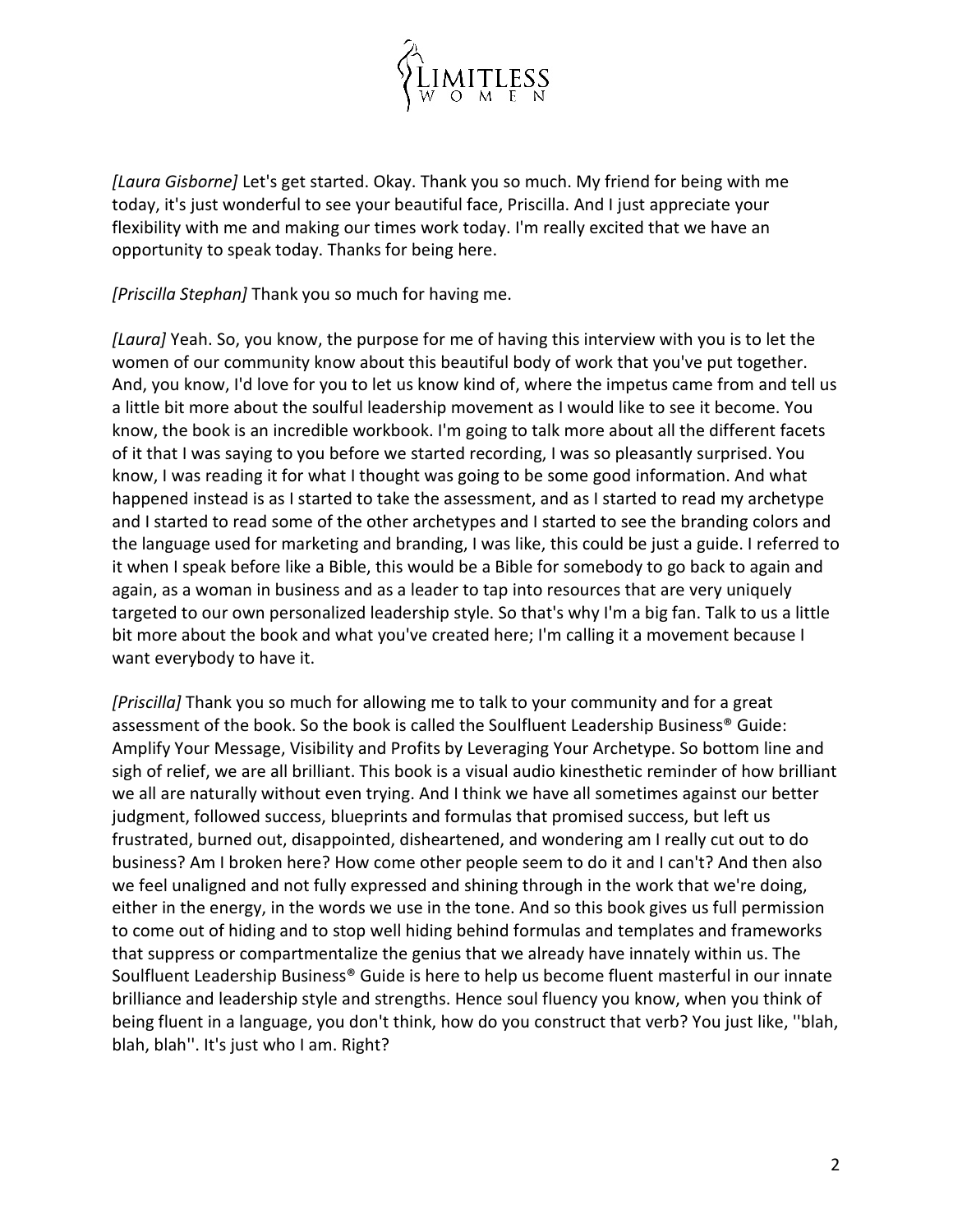

*[Laura Gisborne]* Let's get started. Okay. Thank you so much. My friend for being with me today, it's just wonderful to see your beautiful face, Priscilla. And I just appreciate your flexibility with me and making our times work today. I'm really excited that we have an opportunity to speak today. Thanks for being here.

*[Priscilla Stephan]* Thank you so much for having me.

*[Laura]* Yeah. So, you know, the purpose for me of having this interview with you is to let the women of our community know about this beautiful body of work that you've put together. And, you know, I'd love for you to let us know kind of, where the impetus came from and tell us a little bit more about the soulful leadership movement as I would like to see it become. You know, the book is an incredible workbook. I'm going to talk more about all the different facets of it that I was saying to you before we started recording, I was so pleasantly surprised. You know, I was reading it for what I thought was going to be some good information. And what happened instead is as I started to take the assessment, and as I started to read my archetype and I started to read some of the other archetypes and I started to see the branding colors and the language used for marketing and branding, I was like, this could be just a guide. I referred to it when I speak before like a Bible, this would be a Bible for somebody to go back to again and again, as a woman in business and as a leader to tap into resources that are very uniquely targeted to our own personalized leadership style. So that's why I'm a big fan. Talk to us a little bit more about the book and what you've created here; I'm calling it a movement because I want everybody to have it.

*[Priscilla]* Thank you so much for allowing me to talk to your community and for a great assessment of the book. So the book is called the Soulfluent Leadership Business® Guide: Amplify Your Message, Visibility and Profits by Leveraging Your Archetype. So bottom line and sigh of relief, we are all brilliant. This book is a visual audio kinesthetic reminder of how brilliant we all are naturally without even trying. And I think we have all sometimes against our better judgment, followed success, blueprints and formulas that promised success, but left us frustrated, burned out, disappointed, disheartened, and wondering am I really cut out to do business? Am I broken here? How come other people seem to do it and I can't? And then also we feel unaligned and not fully expressed and shining through in the work that we're doing, either in the energy, in the words we use in the tone. And so this book gives us full permission to come out of hiding and to stop well hiding behind formulas and templates and frameworks that suppress or compartmentalize the genius that we already have innately within us. The Soulfluent Leadership Business® Guide is here to help us become fluent masterful in our innate brilliance and leadership style and strengths. Hence soul fluency you know, when you think of being fluent in a language, you don't think, how do you construct that verb? You just like, ''blah, blah, blah''. It's just who I am. Right?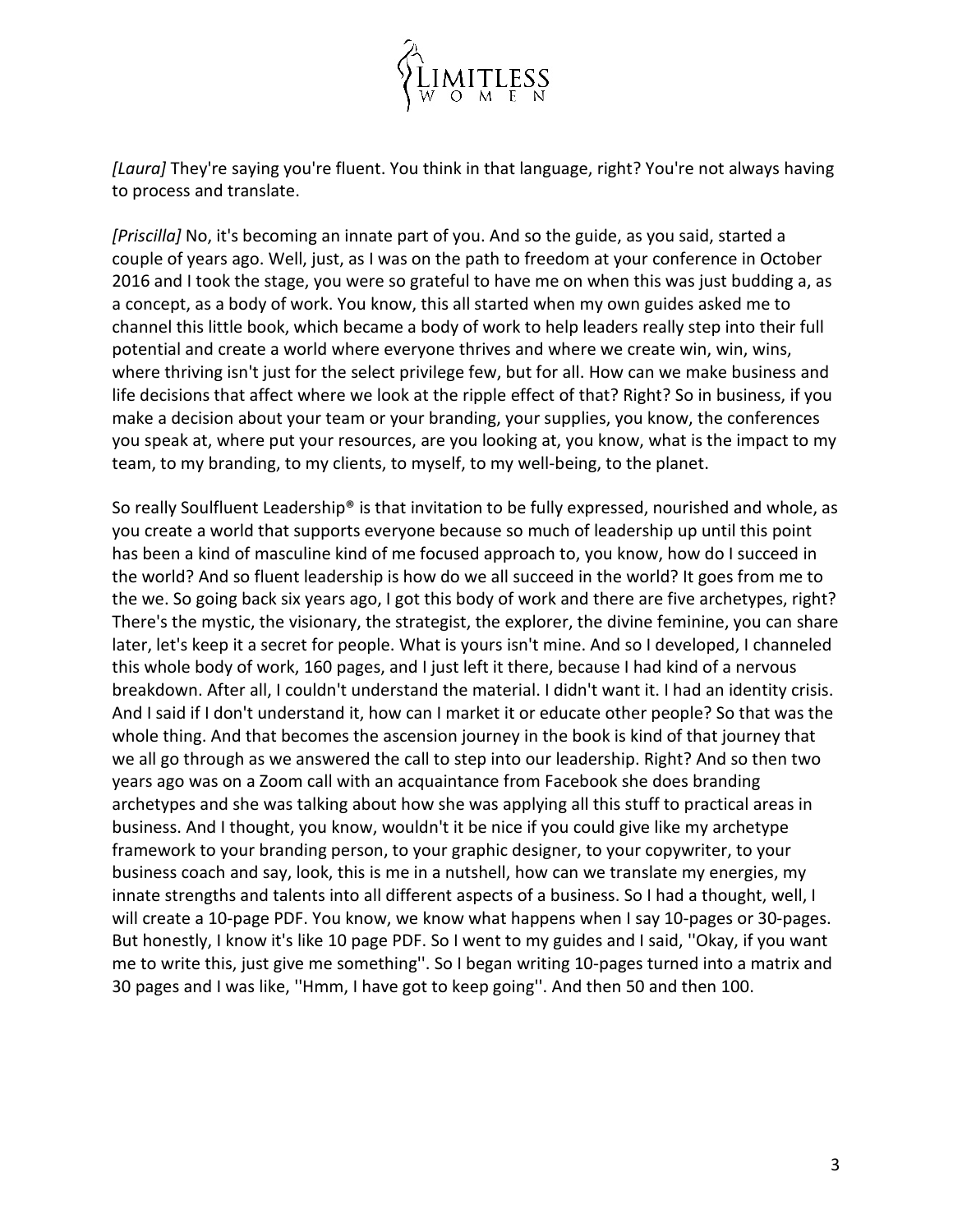

*[Laura]* They're saying you're fluent. You think in that language, right? You're not always having to process and translate.

*[Priscilla]* No, it's becoming an innate part of you. And so the guide, as you said, started a couple of years ago. Well, just, as I was on the path to freedom at your conference in October 2016 and I took the stage, you were so grateful to have me on when this was just budding a, as a concept, as a body of work. You know, this all started when my own guides asked me to channel this little book, which became a body of work to help leaders really step into their full potential and create a world where everyone thrives and where we create win, win, wins, where thriving isn't just for the select privilege few, but for all. How can we make business and life decisions that affect where we look at the ripple effect of that? Right? So in business, if you make a decision about your team or your branding, your supplies, you know, the conferences you speak at, where put your resources, are you looking at, you know, what is the impact to my team, to my branding, to my clients, to myself, to my well-being, to the planet.

So really Soulfluent Leadership® is that invitation to be fully expressed, nourished and whole, as you create a world that supports everyone because so much of leadership up until this point has been a kind of masculine kind of me focused approach to, you know, how do I succeed in the world? And so fluent leadership is how do we all succeed in the world? It goes from me to the we. So going back six years ago, I got this body of work and there are five archetypes, right? There's the mystic, the visionary, the strategist, the explorer, the divine feminine, you can share later, let's keep it a secret for people. What is yours isn't mine. And so I developed, I channeled this whole body of work, 160 pages, and I just left it there, because I had kind of a nervous breakdown. After all, I couldn't understand the material. I didn't want it. I had an identity crisis. And I said if I don't understand it, how can I market it or educate other people? So that was the whole thing. And that becomes the ascension journey in the book is kind of that journey that we all go through as we answered the call to step into our leadership. Right? And so then two years ago was on a Zoom call with an acquaintance from Facebook she does branding archetypes and she was talking about how she was applying all this stuff to practical areas in business. And I thought, you know, wouldn't it be nice if you could give like my archetype framework to your branding person, to your graphic designer, to your copywriter, to your business coach and say, look, this is me in a nutshell, how can we translate my energies, my innate strengths and talents into all different aspects of a business. So I had a thought, well, I will create a 10-page PDF. You know, we know what happens when I say 10-pages or 30-pages. But honestly, I know it's like 10 page PDF. So I went to my guides and I said, ''Okay, if you want me to write this, just give me something''. So I began writing 10-pages turned into a matrix and 30 pages and I was like, ''Hmm, I have got to keep going''. And then 50 and then 100.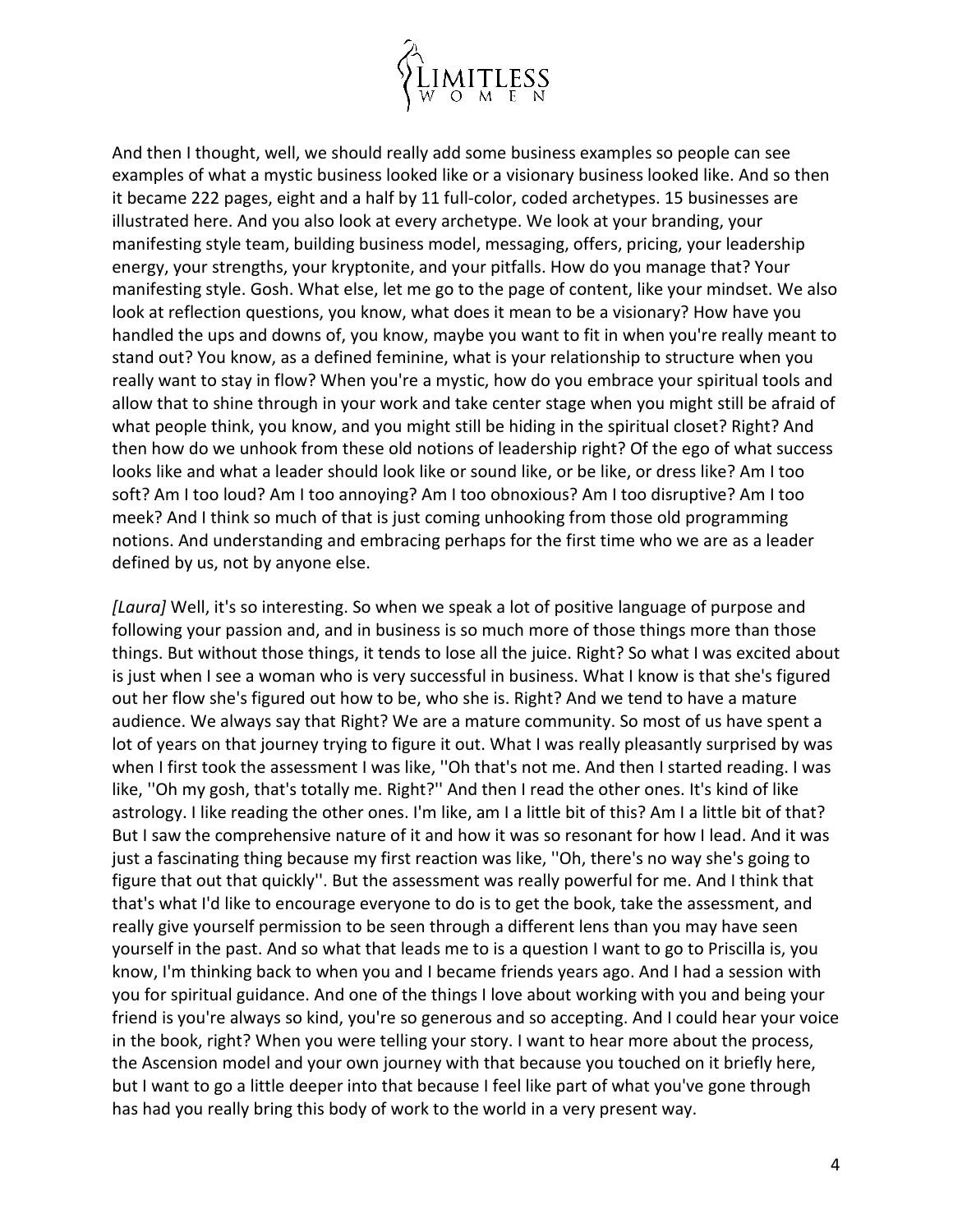

And then I thought, well, we should really add some business examples so people can see examples of what a mystic business looked like or a visionary business looked like. And so then it became 222 pages, eight and a half by 11 full-color, coded archetypes. 15 businesses are illustrated here. And you also look at every archetype. We look at your branding, your manifesting style team, building business model, messaging, offers, pricing, your leadership energy, your strengths, your kryptonite, and your pitfalls. How do you manage that? Your manifesting style. Gosh. What else, let me go to the page of content, like your mindset. We also look at reflection questions, you know, what does it mean to be a visionary? How have you handled the ups and downs of, you know, maybe you want to fit in when you're really meant to stand out? You know, as a defined feminine, what is your relationship to structure when you really want to stay in flow? When you're a mystic, how do you embrace your spiritual tools and allow that to shine through in your work and take center stage when you might still be afraid of what people think, you know, and you might still be hiding in the spiritual closet? Right? And then how do we unhook from these old notions of leadership right? Of the ego of what success looks like and what a leader should look like or sound like, or be like, or dress like? Am I too soft? Am I too loud? Am I too annoying? Am I too obnoxious? Am I too disruptive? Am I too meek? And I think so much of that is just coming unhooking from those old programming notions. And understanding and embracing perhaps for the first time who we are as a leader defined by us, not by anyone else.

*[Laura]* Well, it's so interesting. So when we speak a lot of positive language of purpose and following your passion and, and in business is so much more of those things more than those things. But without those things, it tends to lose all the juice. Right? So what I was excited about is just when I see a woman who is very successful in business. What I know is that she's figured out her flow she's figured out how to be, who she is. Right? And we tend to have a mature audience. We always say that Right? We are a mature community. So most of us have spent a lot of years on that journey trying to figure it out. What I was really pleasantly surprised by was when I first took the assessment I was like, ''Oh that's not me. And then I started reading. I was like, ''Oh my gosh, that's totally me. Right?'' And then I read the other ones. It's kind of like astrology. I like reading the other ones. I'm like, am I a little bit of this? Am I a little bit of that? But I saw the comprehensive nature of it and how it was so resonant for how I lead. And it was just a fascinating thing because my first reaction was like, ''Oh, there's no way she's going to figure that out that quickly''. But the assessment was really powerful for me. And I think that that's what I'd like to encourage everyone to do is to get the book, take the assessment, and really give yourself permission to be seen through a different lens than you may have seen yourself in the past. And so what that leads me to is a question I want to go to Priscilla is, you know, I'm thinking back to when you and I became friends years ago. And I had a session with you for spiritual guidance. And one of the things I love about working with you and being your friend is you're always so kind, you're so generous and so accepting. And I could hear your voice in the book, right? When you were telling your story. I want to hear more about the process, the Ascension model and your own journey with that because you touched on it briefly here, but I want to go a little deeper into that because I feel like part of what you've gone through has had you really bring this body of work to the world in a very present way.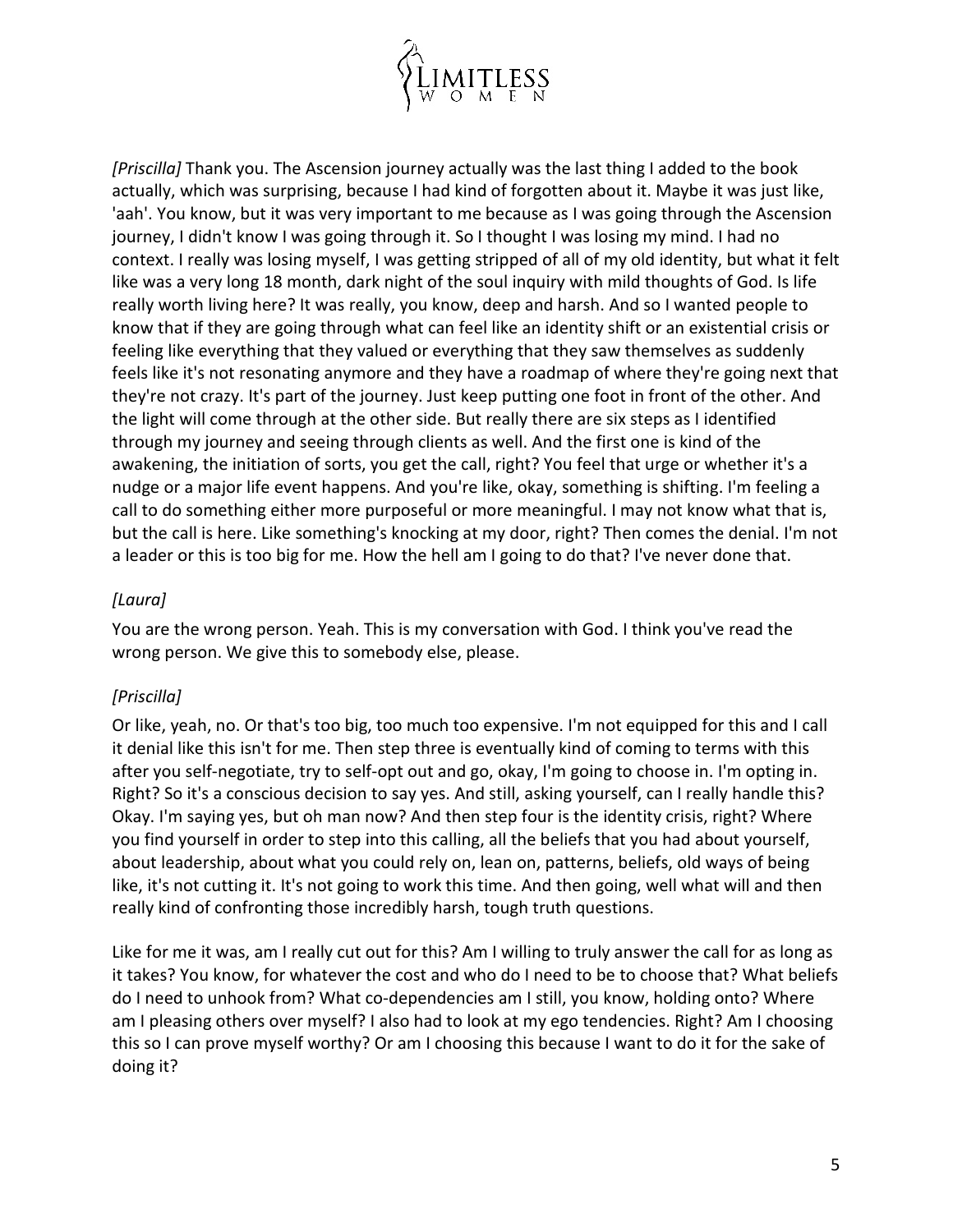

*[Priscilla]* Thank you. The Ascension journey actually was the last thing I added to the book actually, which was surprising, because I had kind of forgotten about it. Maybe it was just like, 'aah'. You know, but it was very important to me because as I was going through the Ascension journey, I didn't know I was going through it. So I thought I was losing my mind. I had no context. I really was losing myself, I was getting stripped of all of my old identity, but what it felt like was a very long 18 month, dark night of the soul inquiry with mild thoughts of God. Is life really worth living here? It was really, you know, deep and harsh. And so I wanted people to know that if they are going through what can feel like an identity shift or an existential crisis or feeling like everything that they valued or everything that they saw themselves as suddenly feels like it's not resonating anymore and they have a roadmap of where they're going next that they're not crazy. It's part of the journey. Just keep putting one foot in front of the other. And the light will come through at the other side. But really there are six steps as I identified through my journey and seeing through clients as well. And the first one is kind of the awakening, the initiation of sorts, you get the call, right? You feel that urge or whether it's a nudge or a major life event happens. And you're like, okay, something is shifting. I'm feeling a call to do something either more purposeful or more meaningful. I may not know what that is, but the call is here. Like something's knocking at my door, right? Then comes the denial. I'm not a leader or this is too big for me. How the hell am I going to do that? I've never done that.

# *[Laura]*

You are the wrong person. Yeah. This is my conversation with God. I think you've read the wrong person. We give this to somebody else, please.

# *[Priscilla]*

Or like, yeah, no. Or that's too big, too much too expensive. I'm not equipped for this and I call it denial like this isn't for me. Then step three is eventually kind of coming to terms with this after you self-negotiate, try to self-opt out and go, okay, I'm going to choose in. I'm opting in. Right? So it's a conscious decision to say yes. And still, asking yourself, can I really handle this? Okay. I'm saying yes, but oh man now? And then step four is the identity crisis, right? Where you find yourself in order to step into this calling, all the beliefs that you had about yourself, about leadership, about what you could rely on, lean on, patterns, beliefs, old ways of being like, it's not cutting it. It's not going to work this time. And then going, well what will and then really kind of confronting those incredibly harsh, tough truth questions.

Like for me it was, am I really cut out for this? Am I willing to truly answer the call for as long as it takes? You know, for whatever the cost and who do I need to be to choose that? What beliefs do I need to unhook from? What co-dependencies am I still, you know, holding onto? Where am I pleasing others over myself? I also had to look at my ego tendencies. Right? Am I choosing this so I can prove myself worthy? Or am I choosing this because I want to do it for the sake of doing it?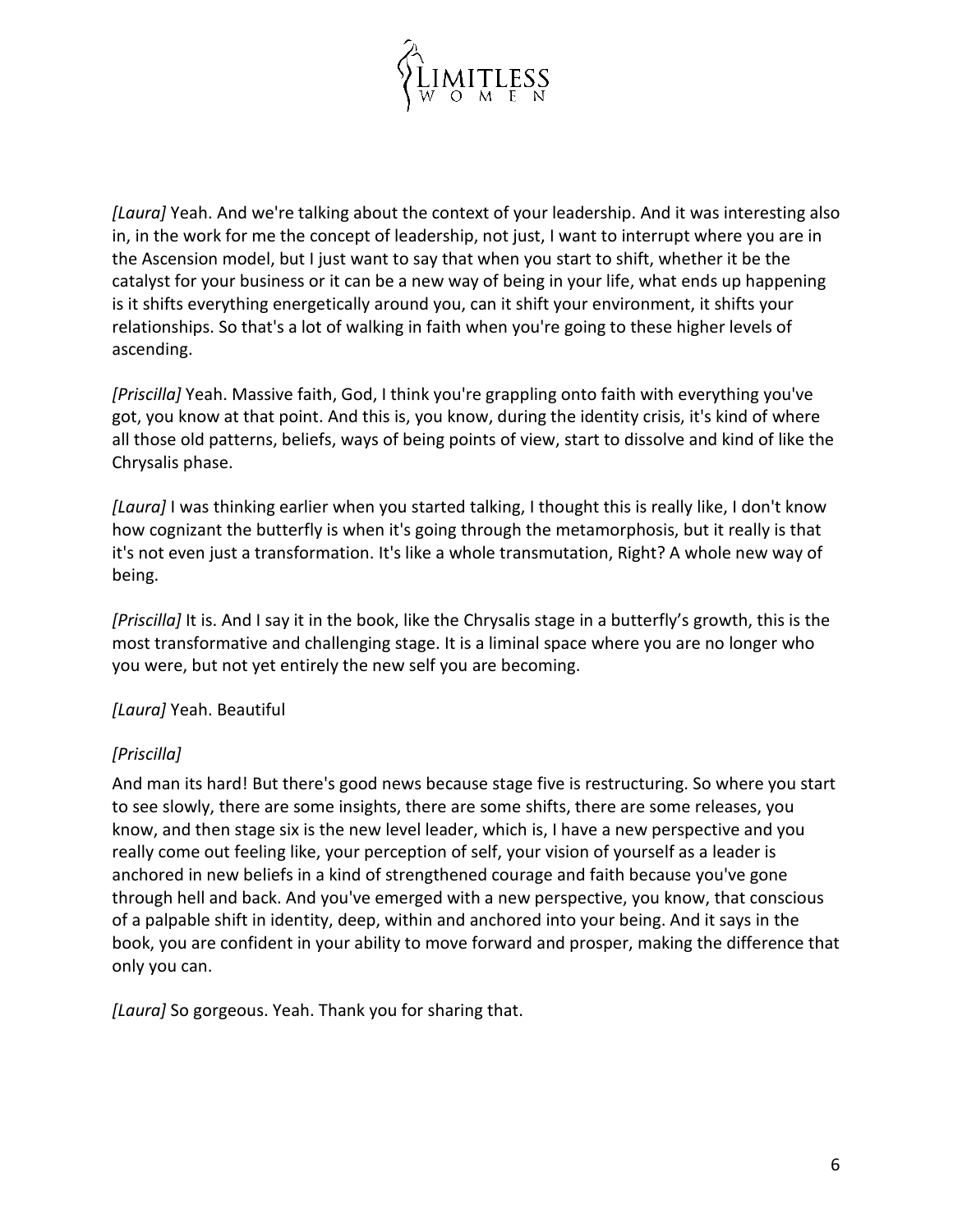

*[Laura]* Yeah. And we're talking about the context of your leadership. And it was interesting also in, in the work for me the concept of leadership, not just, I want to interrupt where you are in the Ascension model, but I just want to say that when you start to shift, whether it be the catalyst for your business or it can be a new way of being in your life, what ends up happening is it shifts everything energetically around you, can it shift your environment, it shifts your relationships. So that's a lot of walking in faith when you're going to these higher levels of ascending.

*[Priscilla]* Yeah. Massive faith, God, I think you're grappling onto faith with everything you've got, you know at that point. And this is, you know, during the identity crisis, it's kind of where all those old patterns, beliefs, ways of being points of view, start to dissolve and kind of like the Chrysalis phase.

*[Laura]* I was thinking earlier when you started talking, I thought this is really like, I don't know how cognizant the butterfly is when it's going through the metamorphosis, but it really is that it's not even just a transformation. It's like a whole transmutation, Right? A whole new way of being.

*[Priscilla]* It is. And I say it in the book, like the Chrysalis stage in a butterfly's growth, this is the most transformative and challenging stage. It is a liminal space where you are no longer who you were, but not yet entirely the new self you are becoming.

## *[Laura]* Yeah. Beautiful

## *[Priscilla]*

And man its hard! But there's good news because stage five is restructuring. So where you start to see slowly, there are some insights, there are some shifts, there are some releases, you know, and then stage six is the new level leader, which is, I have a new perspective and you really come out feeling like, your perception of self, your vision of yourself as a leader is anchored in new beliefs in a kind of strengthened courage and faith because you've gone through hell and back. And you've emerged with a new perspective, you know, that conscious of a palpable shift in identity, deep, within and anchored into your being. And it says in the book, you are confident in your ability to move forward and prosper, making the difference that only you can.

*[Laura]* So gorgeous. Yeah. Thank you for sharing that.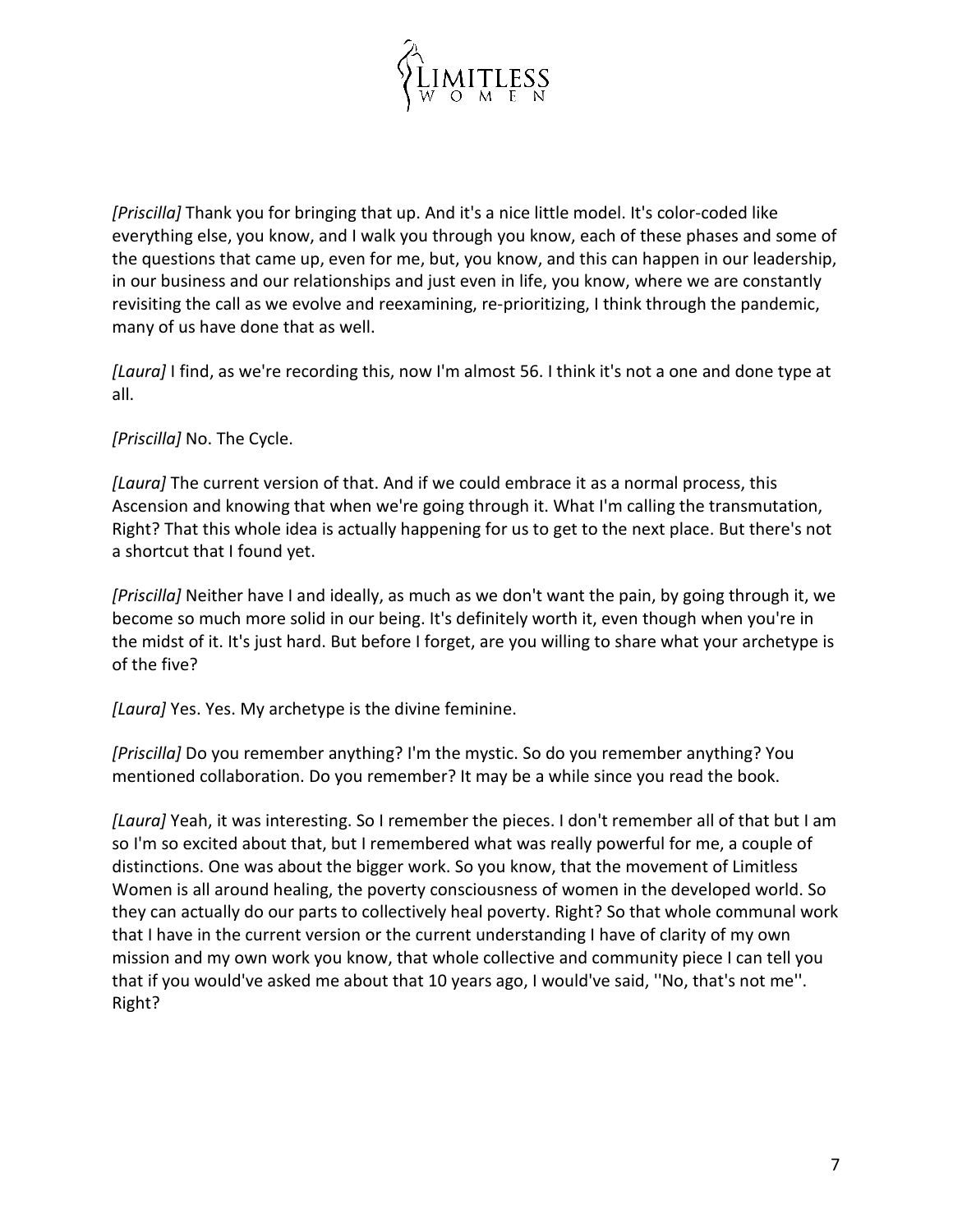

*[Priscilla]* Thank you for bringing that up. And it's a nice little model. It's color-coded like everything else, you know, and I walk you through you know, each of these phases and some of the questions that came up, even for me, but, you know, and this can happen in our leadership, in our business and our relationships and just even in life, you know, where we are constantly revisiting the call as we evolve and reexamining, re-prioritizing, I think through the pandemic, many of us have done that as well.

*[Laura]* I find, as we're recording this, now I'm almost 56. I think it's not a one and done type at all.

*[Priscilla]* No. The Cycle.

*[Laura]* The current version of that. And if we could embrace it as a normal process, this Ascension and knowing that when we're going through it. What I'm calling the transmutation, Right? That this whole idea is actually happening for us to get to the next place. But there's not a shortcut that I found yet.

*[Priscilla]* Neither have I and ideally, as much as we don't want the pain, by going through it, we become so much more solid in our being. It's definitely worth it, even though when you're in the midst of it. It's just hard. But before I forget, are you willing to share what your archetype is of the five?

*[Laura]* Yes. Yes. My archetype is the divine feminine.

*[Priscilla]* Do you remember anything? I'm the mystic. So do you remember anything? You mentioned collaboration. Do you remember? It may be a while since you read the book.

*[Laura]* Yeah, it was interesting. So I remember the pieces. I don't remember all of that but I am so I'm so excited about that, but I remembered what was really powerful for me, a couple of distinctions. One was about the bigger work. So you know, that the movement of Limitless Women is all around healing, the poverty consciousness of women in the developed world. So they can actually do our parts to collectively heal poverty. Right? So that whole communal work that I have in the current version or the current understanding I have of clarity of my own mission and my own work you know, that whole collective and community piece I can tell you that if you would've asked me about that 10 years ago, I would've said, ''No, that's not me''. Right?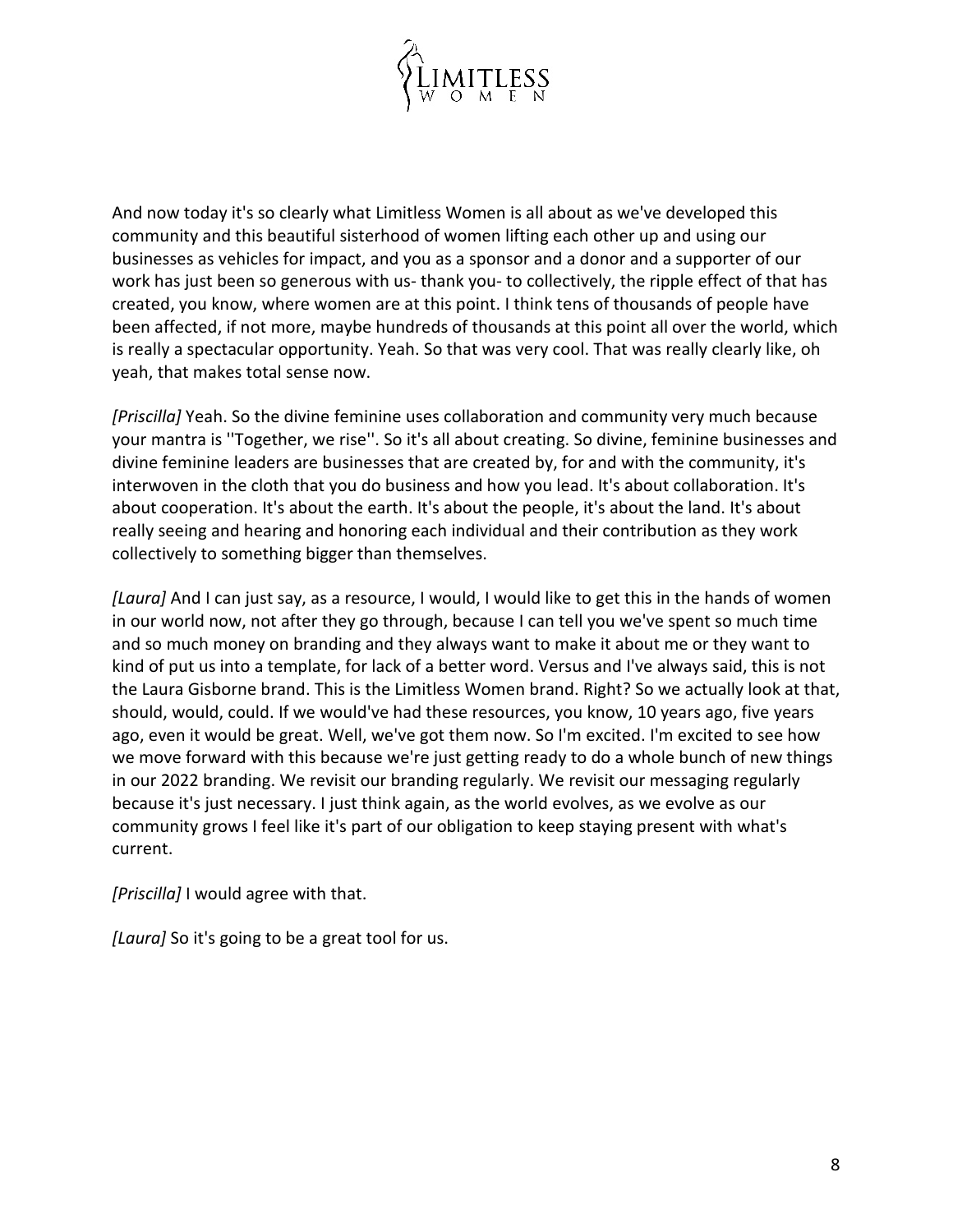

And now today it's so clearly what Limitless Women is all about as we've developed this community and this beautiful sisterhood of women lifting each other up and using our businesses as vehicles for impact, and you as a sponsor and a donor and a supporter of our work has just been so generous with us- thank you- to collectively, the ripple effect of that has created, you know, where women are at this point. I think tens of thousands of people have been affected, if not more, maybe hundreds of thousands at this point all over the world, which is really a spectacular opportunity. Yeah. So that was very cool. That was really clearly like, oh yeah, that makes total sense now.

*[Priscilla]* Yeah. So the divine feminine uses collaboration and community very much because your mantra is ''Together, we rise''. So it's all about creating. So divine, feminine businesses and divine feminine leaders are businesses that are created by, for and with the community, it's interwoven in the cloth that you do business and how you lead. It's about collaboration. It's about cooperation. It's about the earth. It's about the people, it's about the land. It's about really seeing and hearing and honoring each individual and their contribution as they work collectively to something bigger than themselves.

*[Laura]* And I can just say, as a resource, I would, I would like to get this in the hands of women in our world now, not after they go through, because I can tell you we've spent so much time and so much money on branding and they always want to make it about me or they want to kind of put us into a template, for lack of a better word. Versus and I've always said, this is not the Laura Gisborne brand. This is the Limitless Women brand. Right? So we actually look at that, should, would, could. If we would've had these resources, you know, 10 years ago, five years ago, even it would be great. Well, we've got them now. So I'm excited. I'm excited to see how we move forward with this because we're just getting ready to do a whole bunch of new things in our 2022 branding. We revisit our branding regularly. We revisit our messaging regularly because it's just necessary. I just think again, as the world evolves, as we evolve as our community grows I feel like it's part of our obligation to keep staying present with what's current.

*[Priscilla]* I would agree with that.

*[Laura]* So it's going to be a great tool for us.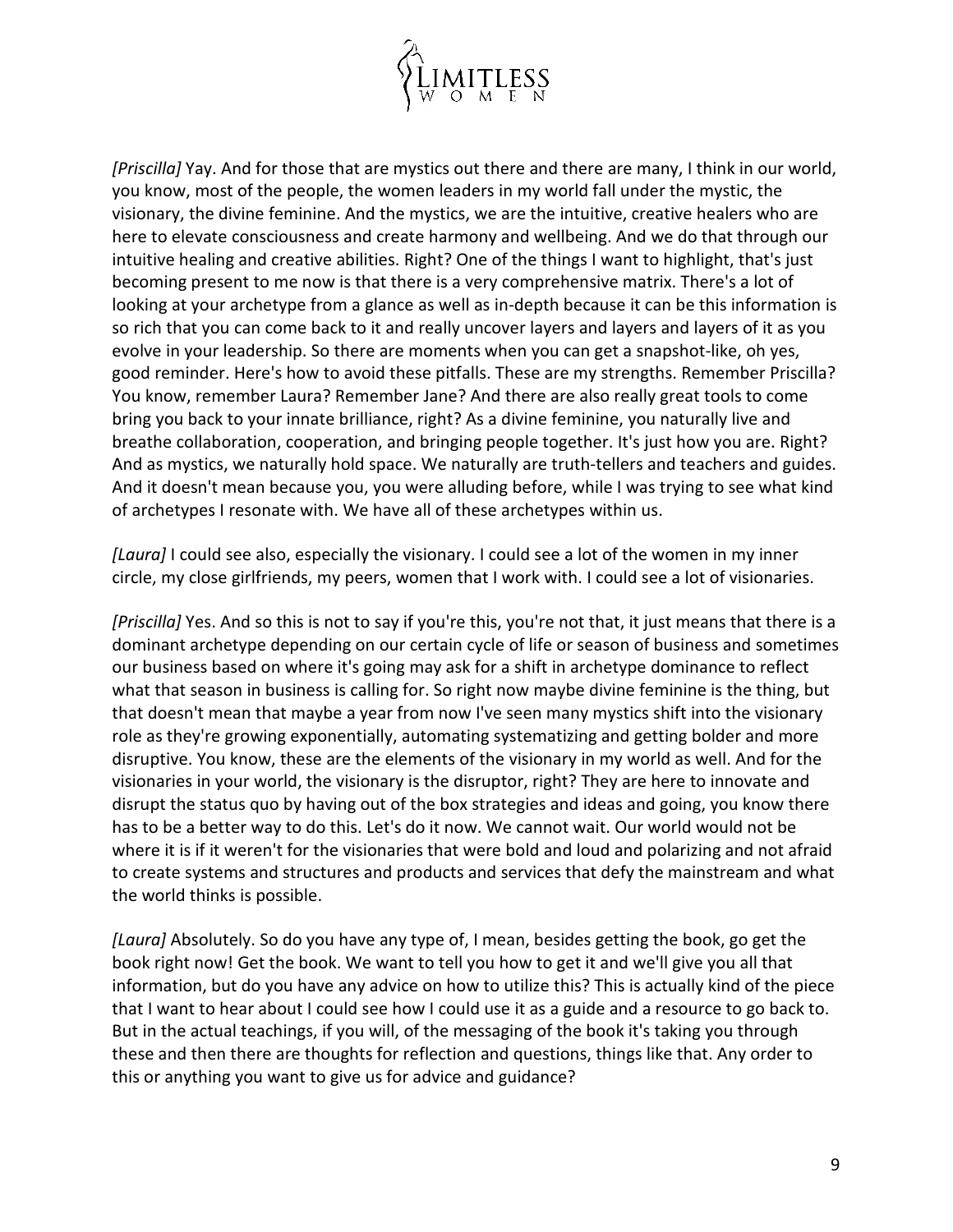

*[Priscilla]* Yay. And for those that are mystics out there and there are many, I think in our world, you know, most of the people, the women leaders in my world fall under the mystic, the visionary, the divine feminine. And the mystics, we are the intuitive, creative healers who are here to elevate consciousness and create harmony and wellbeing. And we do that through our intuitive healing and creative abilities. Right? One of the things I want to highlight, that's just becoming present to me now is that there is a very comprehensive matrix. There's a lot of looking at your archetype from a glance as well as in-depth because it can be this information is so rich that you can come back to it and really uncover layers and layers and layers of it as you evolve in your leadership. So there are moments when you can get a snapshot-like, oh yes, good reminder. Here's how to avoid these pitfalls. These are my strengths. Remember Priscilla? You know, remember Laura? Remember Jane? And there are also really great tools to come bring you back to your innate brilliance, right? As a divine feminine, you naturally live and breathe collaboration, cooperation, and bringing people together. It's just how you are. Right? And as mystics, we naturally hold space. We naturally are truth-tellers and teachers and guides. And it doesn't mean because you, you were alluding before, while I was trying to see what kind of archetypes I resonate with. We have all of these archetypes within us.

*[Laura]* I could see also, especially the visionary. I could see a lot of the women in my inner circle, my close girlfriends, my peers, women that I work with. I could see a lot of visionaries.

*[Priscilla]* Yes. And so this is not to say if you're this, you're not that, it just means that there is a dominant archetype depending on our certain cycle of life or season of business and sometimes our business based on where it's going may ask for a shift in archetype dominance to reflect what that season in business is calling for. So right now maybe divine feminine is the thing, but that doesn't mean that maybe a year from now I've seen many mystics shift into the visionary role as they're growing exponentially, automating systematizing and getting bolder and more disruptive. You know, these are the elements of the visionary in my world as well. And for the visionaries in your world, the visionary is the disruptor, right? They are here to innovate and disrupt the status quo by having out of the box strategies and ideas and going, you know there has to be a better way to do this. Let's do it now. We cannot wait. Our world would not be where it is if it weren't for the visionaries that were bold and loud and polarizing and not afraid to create systems and structures and products and services that defy the mainstream and what the world thinks is possible.

*[Laura]* Absolutely. So do you have any type of, I mean, besides getting the book, go get the book right now! Get the book. We want to tell you how to get it and we'll give you all that information, but do you have any advice on how to utilize this? This is actually kind of the piece that I want to hear about I could see how I could use it as a guide and a resource to go back to. But in the actual teachings, if you will, of the messaging of the book it's taking you through these and then there are thoughts for reflection and questions, things like that. Any order to this or anything you want to give us for advice and guidance?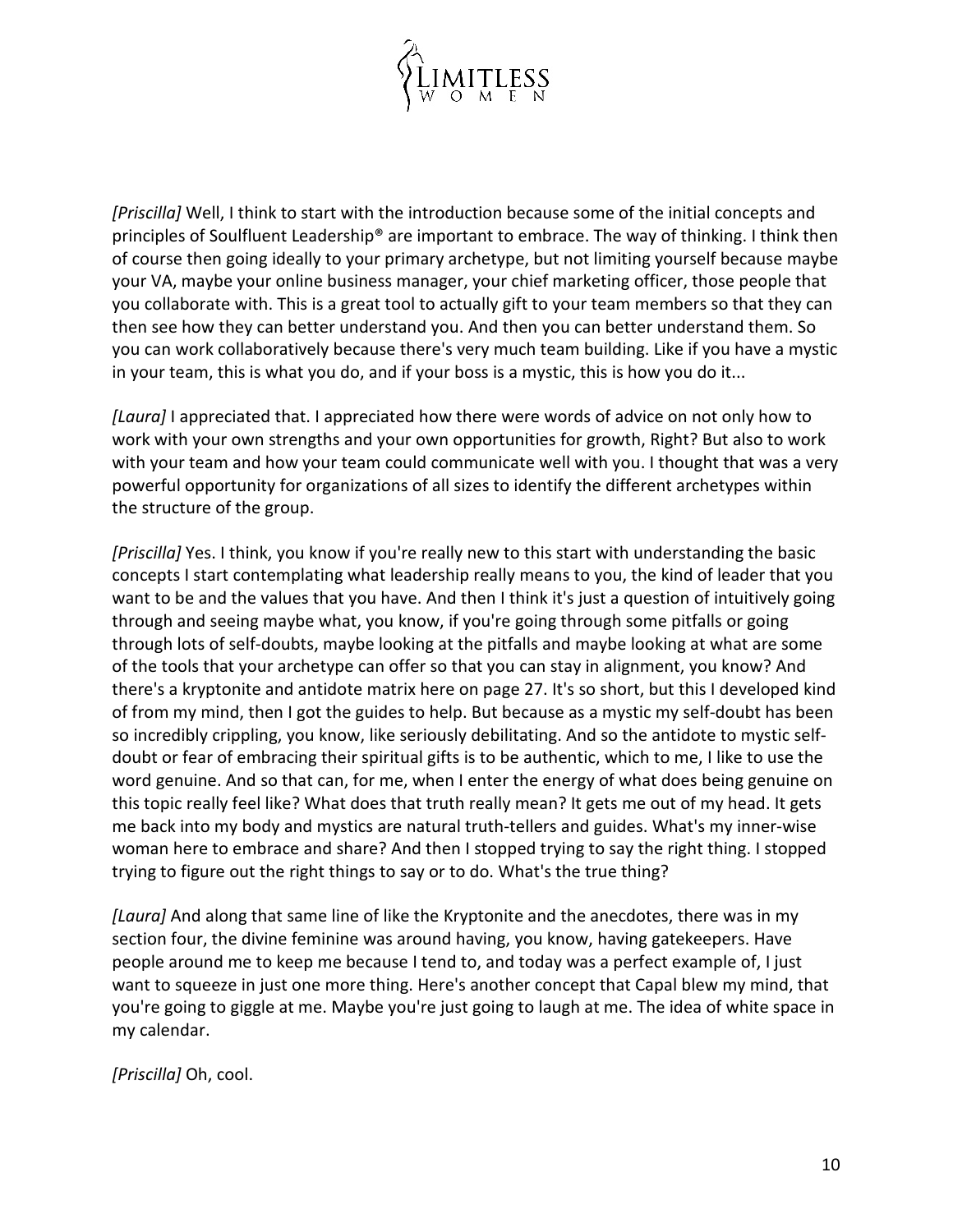

*[Priscilla]* Well, I think to start with the introduction because some of the initial concepts and principles of Soulfluent Leadership® are important to embrace. The way of thinking. I think then of course then going ideally to your primary archetype, but not limiting yourself because maybe your VA, maybe your online business manager, your chief marketing officer, those people that you collaborate with. This is a great tool to actually gift to your team members so that they can then see how they can better understand you. And then you can better understand them. So you can work collaboratively because there's very much team building. Like if you have a mystic in your team, this is what you do, and if your boss is a mystic, this is how you do it...

*[Laura]* I appreciated that. I appreciated how there were words of advice on not only how to work with your own strengths and your own opportunities for growth, Right? But also to work with your team and how your team could communicate well with you. I thought that was a very powerful opportunity for organizations of all sizes to identify the different archetypes within the structure of the group.

*[Priscilla]* Yes. I think, you know if you're really new to this start with understanding the basic concepts I start contemplating what leadership really means to you, the kind of leader that you want to be and the values that you have. And then I think it's just a question of intuitively going through and seeing maybe what, you know, if you're going through some pitfalls or going through lots of self-doubts, maybe looking at the pitfalls and maybe looking at what are some of the tools that your archetype can offer so that you can stay in alignment, you know? And there's a kryptonite and antidote matrix here on page 27. It's so short, but this I developed kind of from my mind, then I got the guides to help. But because as a mystic my self-doubt has been so incredibly crippling, you know, like seriously debilitating. And so the antidote to mystic selfdoubt or fear of embracing their spiritual gifts is to be authentic, which to me, I like to use the word genuine. And so that can, for me, when I enter the energy of what does being genuine on this topic really feel like? What does that truth really mean? It gets me out of my head. It gets me back into my body and mystics are natural truth-tellers and guides. What's my inner-wise woman here to embrace and share? And then I stopped trying to say the right thing. I stopped trying to figure out the right things to say or to do. What's the true thing?

*[Laura]* And along that same line of like the Kryptonite and the anecdotes, there was in my section four, the divine feminine was around having, you know, having gatekeepers. Have people around me to keep me because I tend to, and today was a perfect example of, I just want to squeeze in just one more thing. Here's another concept that Capal blew my mind, that you're going to giggle at me. Maybe you're just going to laugh at me. The idea of white space in my calendar.

*[Priscilla]* Oh, cool.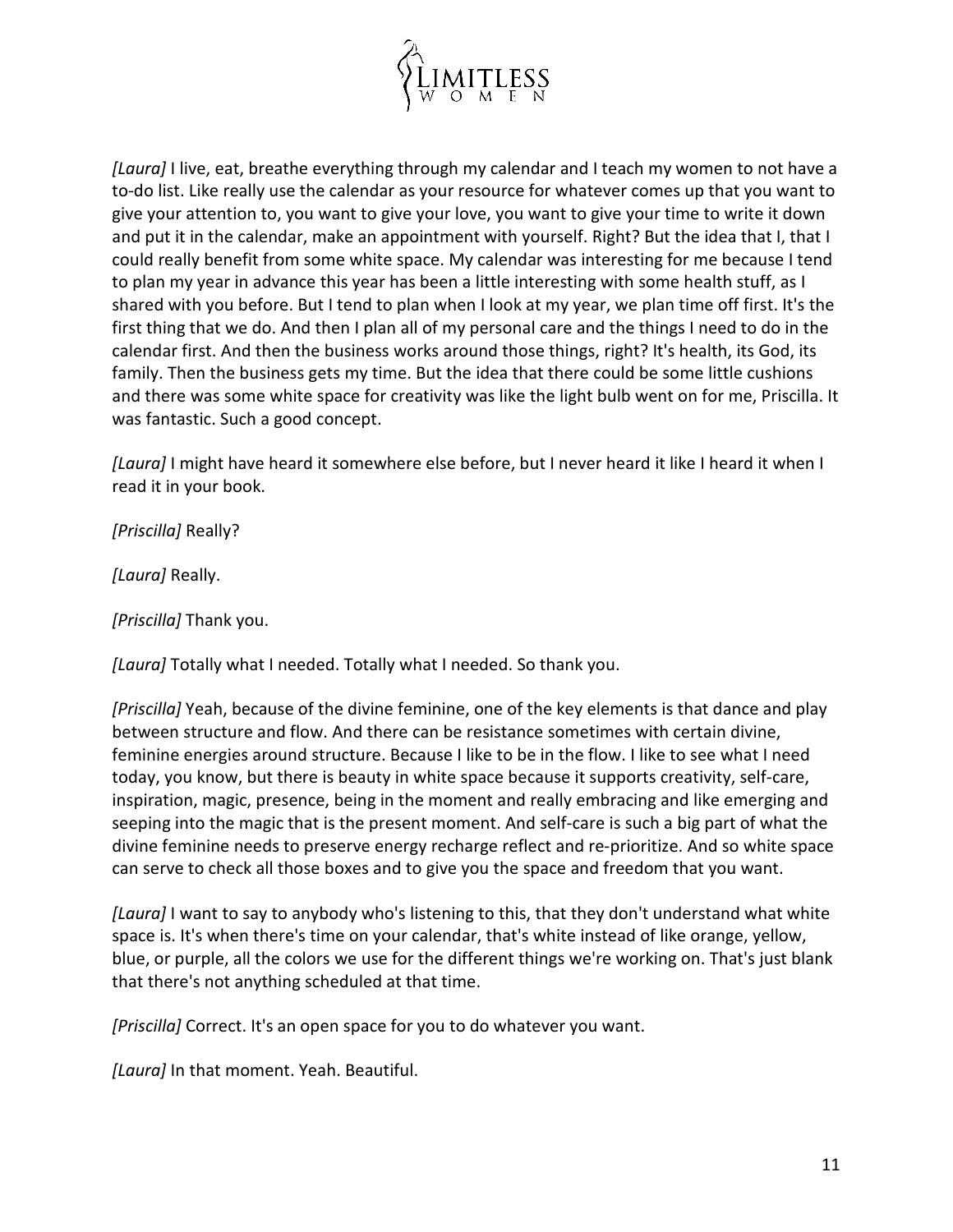

*[Laura]* I live, eat, breathe everything through my calendar and I teach my women to not have a to-do list. Like really use the calendar as your resource for whatever comes up that you want to give your attention to, you want to give your love, you want to give your time to write it down and put it in the calendar, make an appointment with yourself. Right? But the idea that I, that I could really benefit from some white space. My calendar was interesting for me because I tend to plan my year in advance this year has been a little interesting with some health stuff, as I shared with you before. But I tend to plan when I look at my year, we plan time off first. It's the first thing that we do. And then I plan all of my personal care and the things I need to do in the calendar first. And then the business works around those things, right? It's health, its God, its family. Then the business gets my time. But the idea that there could be some little cushions and there was some white space for creativity was like the light bulb went on for me, Priscilla. It was fantastic. Such a good concept.

*[Laura]* I might have heard it somewhere else before, but I never heard it like I heard it when I read it in your book.

*[Priscilla]* Really?

*[Laura]* Really.

*[Priscilla]* Thank you.

*[Laura]* Totally what I needed. Totally what I needed. So thank you.

*[Priscilla]* Yeah, because of the divine feminine, one of the key elements is that dance and play between structure and flow. And there can be resistance sometimes with certain divine, feminine energies around structure. Because I like to be in the flow. I like to see what I need today, you know, but there is beauty in white space because it supports creativity, self-care, inspiration, magic, presence, being in the moment and really embracing and like emerging and seeping into the magic that is the present moment. And self-care is such a big part of what the divine feminine needs to preserve energy recharge reflect and re-prioritize. And so white space can serve to check all those boxes and to give you the space and freedom that you want.

*[Laura]* I want to say to anybody who's listening to this, that they don't understand what white space is. It's when there's time on your calendar, that's white instead of like orange, yellow, blue, or purple, all the colors we use for the different things we're working on. That's just blank that there's not anything scheduled at that time.

*[Priscilla]* Correct. It's an open space for you to do whatever you want.

*[Laura]* In that moment. Yeah. Beautiful.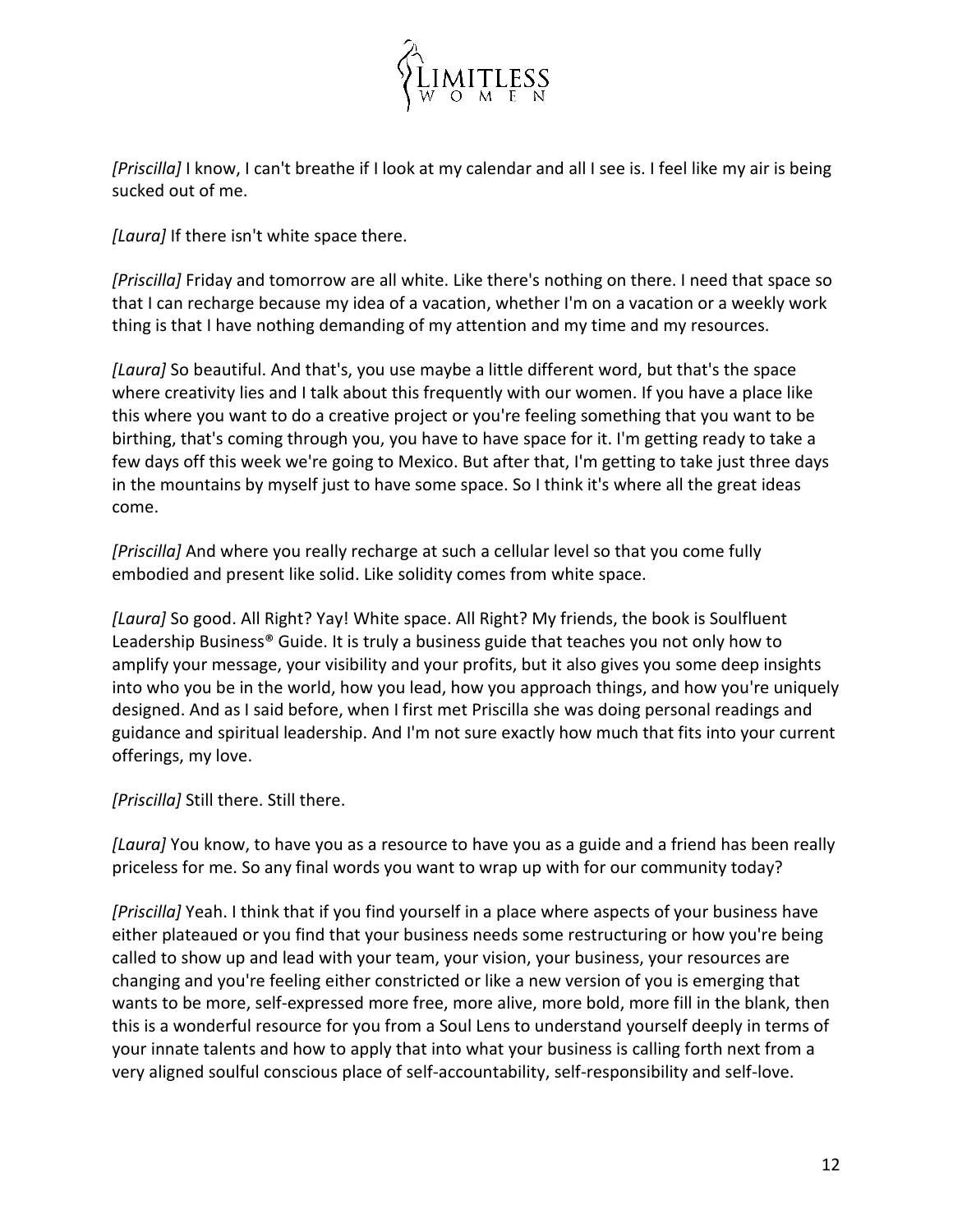

*[Priscilla]* I know, I can't breathe if I look at my calendar and all I see is. I feel like my air is being sucked out of me.

*[Laura]* If there isn't white space there.

*[Priscilla]* Friday and tomorrow are all white. Like there's nothing on there. I need that space so that I can recharge because my idea of a vacation, whether I'm on a vacation or a weekly work thing is that I have nothing demanding of my attention and my time and my resources.

*[Laura]* So beautiful. And that's, you use maybe a little different word, but that's the space where creativity lies and I talk about this frequently with our women. If you have a place like this where you want to do a creative project or you're feeling something that you want to be birthing, that's coming through you, you have to have space for it. I'm getting ready to take a few days off this week we're going to Mexico. But after that, I'm getting to take just three days in the mountains by myself just to have some space. So I think it's where all the great ideas come.

*[Priscilla]* And where you really recharge at such a cellular level so that you come fully embodied and present like solid. Like solidity comes from white space.

*[Laura]* So good. All Right? Yay! White space. All Right? My friends, the book is Soulfluent Leadership Business® Guide. It is truly a business guide that teaches you not only how to amplify your message, your visibility and your profits, but it also gives you some deep insights into who you be in the world, how you lead, how you approach things, and how you're uniquely designed. And as I said before, when I first met Priscilla she was doing personal readings and guidance and spiritual leadership. And I'm not sure exactly how much that fits into your current offerings, my love.

*[Priscilla]* Still there. Still there.

*[Laura]* You know, to have you as a resource to have you as a guide and a friend has been really priceless for me. So any final words you want to wrap up with for our community today?

*[Priscilla]* Yeah. I think that if you find yourself in a place where aspects of your business have either plateaued or you find that your business needs some restructuring or how you're being called to show up and lead with your team, your vision, your business, your resources are changing and you're feeling either constricted or like a new version of you is emerging that wants to be more, self-expressed more free, more alive, more bold, more fill in the blank, then this is a wonderful resource for you from a Soul Lens to understand yourself deeply in terms of your innate talents and how to apply that into what your business is calling forth next from a very aligned soulful conscious place of self-accountability, self-responsibility and self-love.